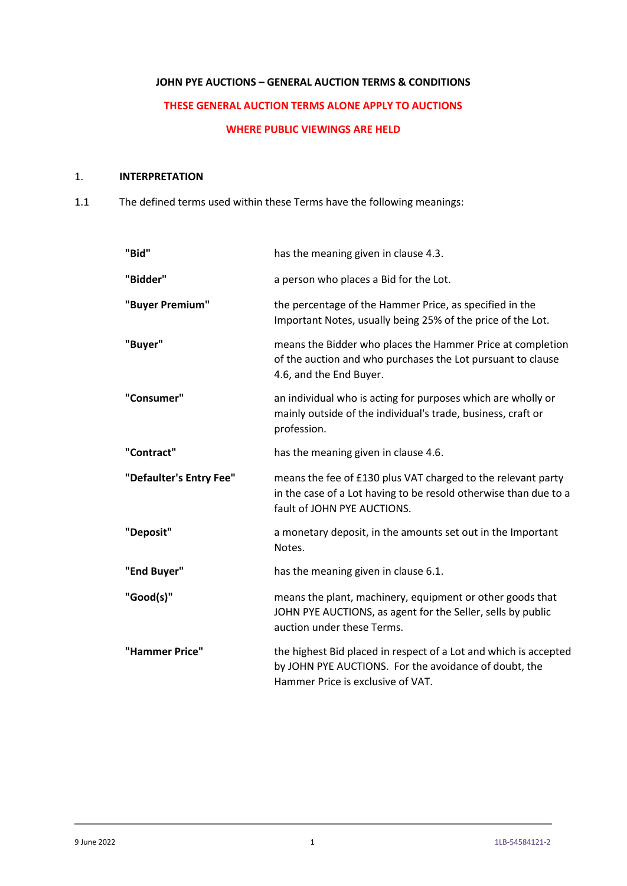# **JOHN PYE AUCTIONS – GENERAL AUCTION TERMS & CONDITIONS**

# **THESE GENERAL AUCTION TERMS ALONE APPLY TO AUCTIONS**

#### **WHERE PUBLIC VIEWINGS ARE HELD**

# 1. **INTERPRETATION**

1.1 The defined terms used within these Terms have the following meanings:

| "Bid"                   | has the meaning given in clause 4.3.                                                                                                                            |
|-------------------------|-----------------------------------------------------------------------------------------------------------------------------------------------------------------|
| "Bidder"                | a person who places a Bid for the Lot.                                                                                                                          |
| "Buyer Premium"         | the percentage of the Hammer Price, as specified in the<br>Important Notes, usually being 25% of the price of the Lot.                                          |
| "Buyer"                 | means the Bidder who places the Hammer Price at completion<br>of the auction and who purchases the Lot pursuant to clause<br>4.6, and the End Buyer.            |
| "Consumer"              | an individual who is acting for purposes which are wholly or<br>mainly outside of the individual's trade, business, craft or<br>profession.                     |
| "Contract"              | has the meaning given in clause 4.6.                                                                                                                            |
| "Defaulter's Entry Fee" | means the fee of £130 plus VAT charged to the relevant party<br>in the case of a Lot having to be resold otherwise than due to a<br>fault of JOHN PYE AUCTIONS. |
| "Deposit"               | a monetary deposit, in the amounts set out in the Important<br>Notes.                                                                                           |
| "End Buyer"             | has the meaning given in clause 6.1.                                                                                                                            |
| "Good(s)"               | means the plant, machinery, equipment or other goods that<br>JOHN PYE AUCTIONS, as agent for the Seller, sells by public<br>auction under these Terms.          |
| "Hammer Price"          | the highest Bid placed in respect of a Lot and which is accepted<br>by JOHN PYE AUCTIONS. For the avoidance of doubt, the<br>Hammer Price is exclusive of VAT.  |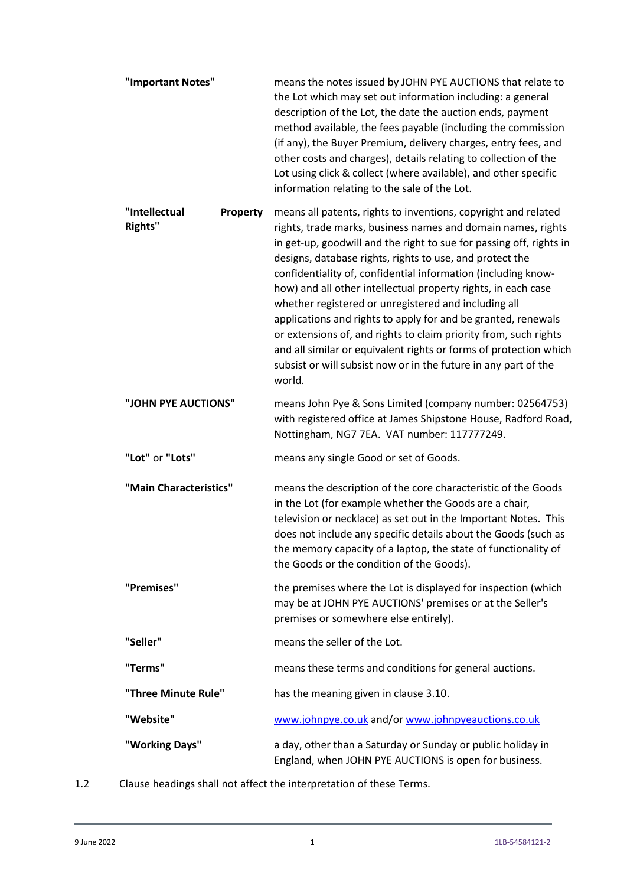| "Important Notes"               | means the notes issued by JOHN PYE AUCTIONS that relate to<br>the Lot which may set out information including: a general<br>description of the Lot, the date the auction ends, payment<br>method available, the fees payable (including the commission<br>(if any), the Buyer Premium, delivery charges, entry fees, and<br>other costs and charges), details relating to collection of the<br>Lot using click & collect (where available), and other specific<br>information relating to the sale of the Lot.                                                                                                                                                                                                                                                 |
|---------------------------------|----------------------------------------------------------------------------------------------------------------------------------------------------------------------------------------------------------------------------------------------------------------------------------------------------------------------------------------------------------------------------------------------------------------------------------------------------------------------------------------------------------------------------------------------------------------------------------------------------------------------------------------------------------------------------------------------------------------------------------------------------------------|
| "Intellectual<br><b>Rights"</b> | Property<br>means all patents, rights to inventions, copyright and related<br>rights, trade marks, business names and domain names, rights<br>in get-up, goodwill and the right to sue for passing off, rights in<br>designs, database rights, rights to use, and protect the<br>confidentiality of, confidential information (including know-<br>how) and all other intellectual property rights, in each case<br>whether registered or unregistered and including all<br>applications and rights to apply for and be granted, renewals<br>or extensions of, and rights to claim priority from, such rights<br>and all similar or equivalent rights or forms of protection which<br>subsist or will subsist now or in the future in any part of the<br>world. |
| "JOHN PYE AUCTIONS"             | means John Pye & Sons Limited (company number: 02564753)<br>with registered office at James Shipstone House, Radford Road,<br>Nottingham, NG7 7EA. VAT number: 117777249.                                                                                                                                                                                                                                                                                                                                                                                                                                                                                                                                                                                      |
| "Lot" or "Lots"                 | means any single Good or set of Goods.                                                                                                                                                                                                                                                                                                                                                                                                                                                                                                                                                                                                                                                                                                                         |
| "Main Characteristics"          | means the description of the core characteristic of the Goods<br>in the Lot (for example whether the Goods are a chair,<br>television or necklace) as set out in the Important Notes. This<br>does not include any specific details about the Goods (such as<br>the memory capacity of a laptop, the state of functionality of<br>the Goods or the condition of the Goods).                                                                                                                                                                                                                                                                                                                                                                                    |
| "Premises"                      | the premises where the Lot is displayed for inspection (which<br>may be at JOHN PYE AUCTIONS' premises or at the Seller's<br>premises or somewhere else entirely).                                                                                                                                                                                                                                                                                                                                                                                                                                                                                                                                                                                             |
| "Seller"                        | means the seller of the Lot.                                                                                                                                                                                                                                                                                                                                                                                                                                                                                                                                                                                                                                                                                                                                   |
| "Terms"                         | means these terms and conditions for general auctions.                                                                                                                                                                                                                                                                                                                                                                                                                                                                                                                                                                                                                                                                                                         |
| "Three Minute Rule"             | has the meaning given in clause 3.10.                                                                                                                                                                                                                                                                                                                                                                                                                                                                                                                                                                                                                                                                                                                          |
| "Website"                       | www.johnpye.co.uk and/or www.johnpyeauctions.co.uk                                                                                                                                                                                                                                                                                                                                                                                                                                                                                                                                                                                                                                                                                                             |
| "Working Days"                  | a day, other than a Saturday or Sunday or public holiday in<br>England, when JOHN PYE AUCTIONS is open for business.                                                                                                                                                                                                                                                                                                                                                                                                                                                                                                                                                                                                                                           |

1.2 Clause headings shall not affect the interpretation of these Terms.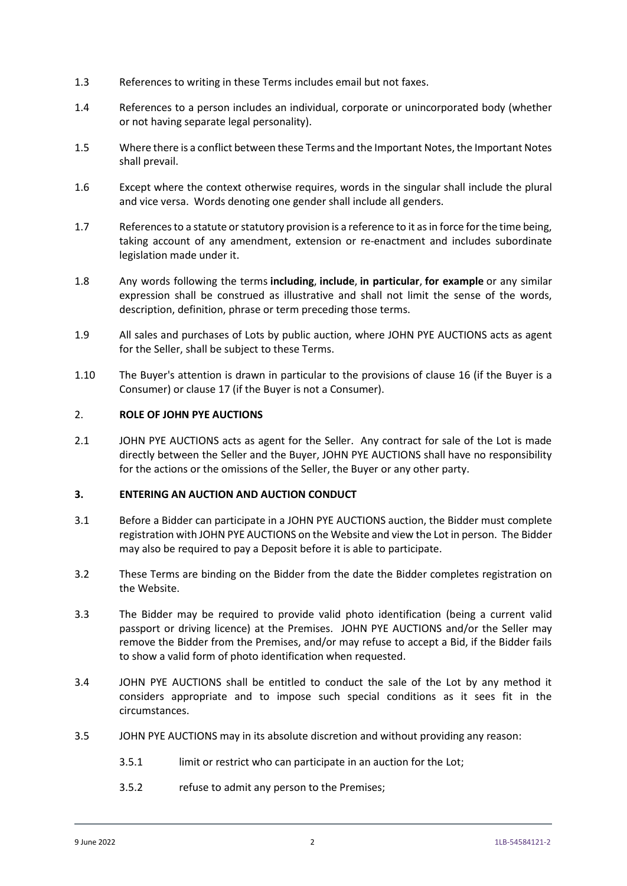- 1.3 References to writing in these Terms includes email but not faxes.
- 1.4 References to a person includes an individual, corporate or unincorporated body (whether or not having separate legal personality).
- 1.5 Where there is a conflict between these Terms and the Important Notes, the Important Notes shall prevail.
- 1.6 Except where the context otherwise requires, words in the singular shall include the plural and vice versa. Words denoting one gender shall include all genders.
- 1.7 References to a statute or statutory provision is a reference to it as in force for the time being, taking account of any amendment, extension or re-enactment and includes subordinate legislation made under it.
- 1.8 Any words following the terms **including**, **include**, **in particular**, **for example** or any similar expression shall be construed as illustrative and shall not limit the sense of the words, description, definition, phrase or term preceding those terms.
- 1.9 All sales and purchases of Lots by public auction, where JOHN PYE AUCTIONS acts as agent for the Seller, shall be subject to these Terms.
- 1.10 The Buyer's attention is drawn in particular to the provisions of clause [16](#page-15-0) (if the Buyer is a Consumer) or claus[e 17](#page-15-1) (if the Buyer is not a Consumer).

#### 2. **ROLE OF JOHN PYE AUCTIONS**

2.1 JOHN PYE AUCTIONS acts as agent for the Seller. Any contract for sale of the Lot is made directly between the Seller and the Buyer, JOHN PYE AUCTIONS shall have no responsibility for the actions or the omissions of the Seller, the Buyer or any other party.

#### **3. ENTERING AN AUCTION AND AUCTION CONDUCT**

- 3.1 Before a Bidder can participate in a JOHN PYE AUCTIONS auction, the Bidder must complete registration with JOHN PYE AUCTIONS on the Website and view the Lot in person. The Bidder may also be required to pay a Deposit before it is able to participate.
- 3.2 These Terms are binding on the Bidder from the date the Bidder completes registration on the Website.
- 3.3 The Bidder may be required to provide valid photo identification (being a current valid passport or driving licence) at the Premises. JOHN PYE AUCTIONS and/or the Seller may remove the Bidder from the Premises, and/or may refuse to accept a Bid, if the Bidder fails to show a valid form of photo identification when requested.
- 3.4 JOHN PYE AUCTIONS shall be entitled to conduct the sale of the Lot by any method it considers appropriate and to impose such special conditions as it sees fit in the circumstances.
- 3.5 JOHN PYE AUCTIONS may in its absolute discretion and without providing any reason:
	- 3.5.1 limit or restrict who can participate in an auction for the Lot;
	- 3.5.2 refuse to admit any person to the Premises;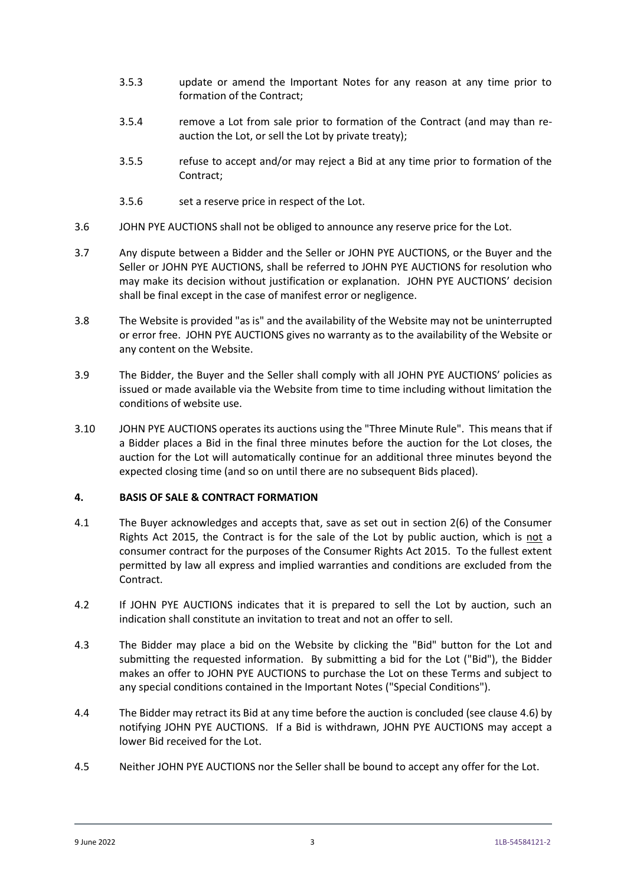- 3.5.3 update or amend the Important Notes for any reason at any time prior to formation of the Contract;
- <span id="page-4-2"></span>3.5.4 remove a Lot from sale prior to formation of the Contract (and may than reauction the Lot, or sell the Lot by private treaty);
- <span id="page-4-3"></span>3.5.5 refuse to accept and/or may reject a Bid at any time prior to formation of the Contract;
- 3.5.6 set a reserve price in respect of the Lot.
- 3.6 JOHN PYE AUCTIONS shall not be obliged to announce any reserve price for the Lot.
- 3.7 Any dispute between a Bidder and the Seller or JOHN PYE AUCTIONS, or the Buyer and the Seller or JOHN PYE AUCTIONS, shall be referred to JOHN PYE AUCTIONS for resolution who may make its decision without justification or explanation. JOHN PYE AUCTIONS' decision shall be final except in the case of manifest error or negligence.
- 3.8 The Website is provided "as is" and the availability of the Website may not be uninterrupted or error free. JOHN PYE AUCTIONS gives no warranty as to the availability of the Website or any content on the Website.
- 3.9 The Bidder, the Buyer and the Seller shall comply with all JOHN PYE AUCTIONS' policies as issued or made available via the Website from time to time including without limitation the conditions of website use.
- <span id="page-4-1"></span>3.10 JOHN PYE AUCTIONS operates its auctions using the "Three Minute Rule". This means that if a Bidder places a Bid in the final three minutes before the auction for the Lot closes, the auction for the Lot will automatically continue for an additional three minutes beyond the expected closing time (and so on until there are no subsequent Bids placed).

#### **4. BASIS OF SALE & CONTRACT FORMATION**

- 4.1 The Buyer acknowledges and accepts that, save as set out in section 2(6) of the Consumer Rights Act 2015, the Contract is for the sale of the Lot by public auction, which is not a consumer contract for the purposes of the Consumer Rights Act 2015. To the fullest extent permitted by law all express and implied warranties and conditions are excluded from the Contract.
- 4.2 If JOHN PYE AUCTIONS indicates that it is prepared to sell the Lot by auction, such an indication shall constitute an invitation to treat and not an offer to sell.
- <span id="page-4-0"></span>4.3 The Bidder may place a bid on the Website by clicking the "Bid" button for the Lot and submitting the requested information. By submitting a bid for the Lot ("Bid"), the Bidder makes an offer to JOHN PYE AUCTIONS to purchase the Lot on these Terms and subject to any special conditions contained in the Important Notes ("Special Conditions").
- 4.4 The Bidder may retract its Bid at any time before the auction is concluded (see clause [4.6\)](#page-5-0) by notifying JOHN PYE AUCTIONS. If a Bid is withdrawn, JOHN PYE AUCTIONS may accept a lower Bid received for the Lot.
- 4.5 Neither JOHN PYE AUCTIONS nor the Seller shall be bound to accept any offer for the Lot.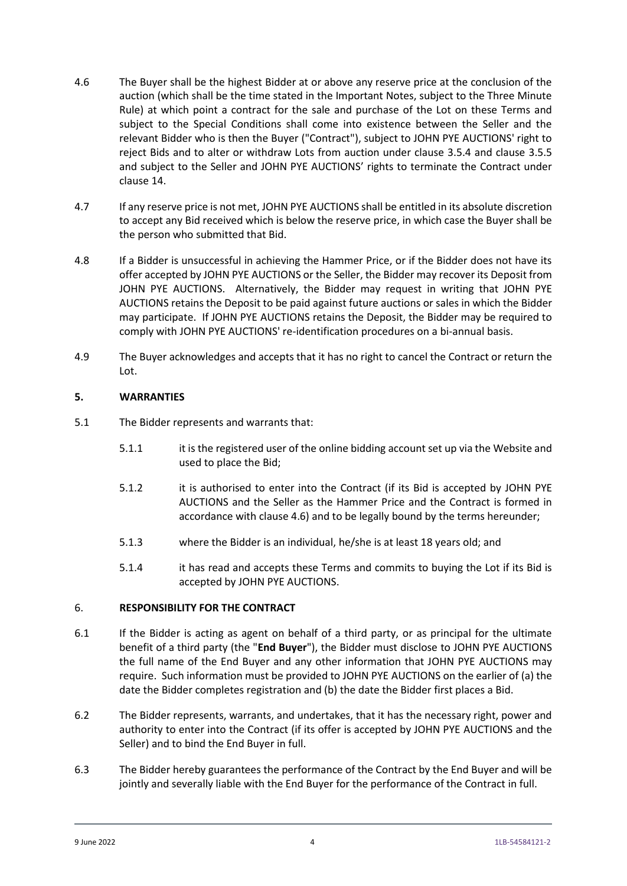- <span id="page-5-0"></span>4.6 The Buyer shall be the highest Bidder at or above any reserve price at the conclusion of the auction (which shall be the time stated in the Important Notes, subject to the Three Minute Rule) at which point a contract for the sale and purchase of the Lot on these Terms and subject to the Special Conditions shall come into existence between the Seller and the relevant Bidder who is then the Buyer ("Contract"), subject to JOHN PYE AUCTIONS' right to reject Bids and to alter or withdraw Lots from auction under clause [3.5.4](#page-4-2) and clause [3.5.5](#page-4-3) and subject to the Seller and JOHN PYE AUCTIONS' rights to terminate the Contract under clause [14.](#page-11-0)
- 4.7 If any reserve price is not met, JOHN PYE AUCTIONS shall be entitled in its absolute discretion to accept any Bid received which is below the reserve price, in which case the Buyer shall be the person who submitted that Bid.
- 4.8 If a Bidder is unsuccessful in achieving the Hammer Price, or if the Bidder does not have its offer accepted by JOHN PYE AUCTIONS or the Seller, the Bidder may recover its Deposit from JOHN PYE AUCTIONS. Alternatively, the Bidder may request in writing that JOHN PYE AUCTIONS retains the Deposit to be paid against future auctions or sales in which the Bidder may participate. If JOHN PYE AUCTIONS retains the Deposit, the Bidder may be required to comply with JOHN PYE AUCTIONS' re-identification procedures on a bi-annual basis.
- 4.9 The Buyer acknowledges and accepts that it has no right to cancel the Contract or return the Lot.

## **5. WARRANTIES**

- 5.1 The Bidder represents and warrants that:
	- 5.1.1 it is the registered user of the online bidding account set up via the Website and used to place the Bid;
	- 5.1.2 it is authorised to enter into the Contract (if its Bid is accepted by JOHN PYE AUCTIONS and the Seller as the Hammer Price and the Contract is formed in accordance with claus[e 4.6\)](#page-5-0) and to be legally bound by the terms hereunder;
	- 5.1.3 where the Bidder is an individual, he/she is at least 18 years old; and
	- 5.1.4 it has read and accepts these Terms and commits to buying the Lot if its Bid is accepted by JOHN PYE AUCTIONS.

## 6. **RESPONSIBILITY FOR THE CONTRACT**

- <span id="page-5-1"></span>6.1 If the Bidder is acting as agent on behalf of a third party, or as principal for the ultimate benefit of a third party (the "**End Buyer**"), the Bidder must disclose to JOHN PYE AUCTIONS the full name of the End Buyer and any other information that JOHN PYE AUCTIONS may require. Such information must be provided to JOHN PYE AUCTIONS on the earlier of (a) the date the Bidder completes registration and (b) the date the Bidder first places a Bid.
- 6.2 The Bidder represents, warrants, and undertakes, that it has the necessary right, power and authority to enter into the Contract (if its offer is accepted by JOHN PYE AUCTIONS and the Seller) and to bind the End Buyer in full.
- 6.3 The Bidder hereby guarantees the performance of the Contract by the End Buyer and will be jointly and severally liable with the End Buyer for the performance of the Contract in full.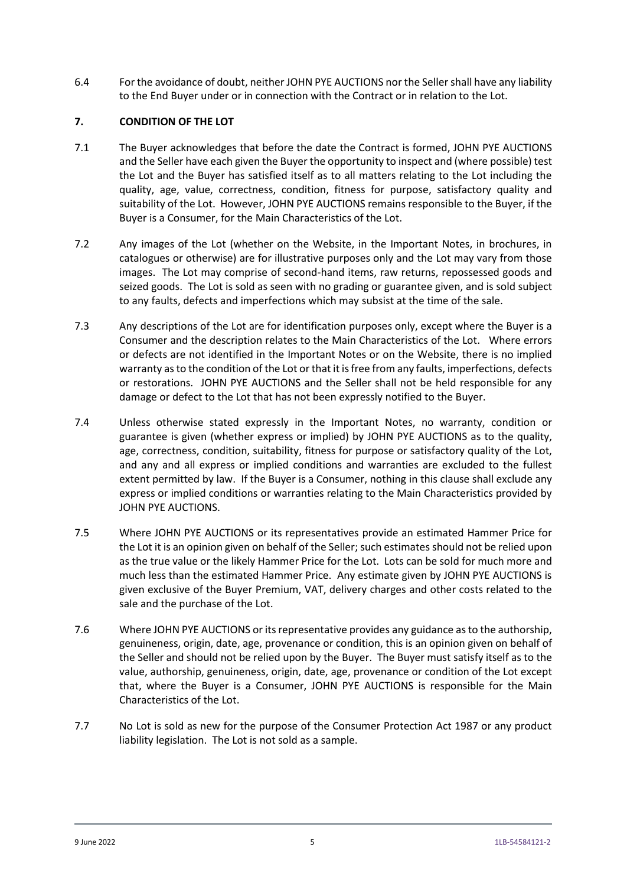6.4 For the avoidance of doubt, neither JOHN PYE AUCTIONS nor the Seller shall have any liability to the End Buyer under or in connection with the Contract or in relation to the Lot.

## **7. CONDITION OF THE LOT**

- 7.1 The Buyer acknowledges that before the date the Contract is formed, JOHN PYE AUCTIONS and the Seller have each given the Buyer the opportunity to inspect and (where possible) test the Lot and the Buyer has satisfied itself as to all matters relating to the Lot including the quality, age, value, correctness, condition, fitness for purpose, satisfactory quality and suitability of the Lot. However, JOHN PYE AUCTIONS remains responsible to the Buyer, if the Buyer is a Consumer, for the Main Characteristics of the Lot.
- 7.2 Any images of the Lot (whether on the Website, in the Important Notes, in brochures, in catalogues or otherwise) are for illustrative purposes only and the Lot may vary from those images. The Lot may comprise of second-hand items, raw returns, repossessed goods and seized goods. The Lot is sold as seen with no grading or guarantee given, and is sold subject to any faults, defects and imperfections which may subsist at the time of the sale.
- 7.3 Any descriptions of the Lot are for identification purposes only, except where the Buyer is a Consumer and the description relates to the Main Characteristics of the Lot. Where errors or defects are not identified in the Important Notes or on the Website, there is no implied warranty as to the condition of the Lot or that it is free from any faults, imperfections, defects or restorations. JOHN PYE AUCTIONS and the Seller shall not be held responsible for any damage or defect to the Lot that has not been expressly notified to the Buyer.
- 7.4 Unless otherwise stated expressly in the Important Notes, no warranty, condition or guarantee is given (whether express or implied) by JOHN PYE AUCTIONS as to the quality, age, correctness, condition, suitability, fitness for purpose or satisfactory quality of the Lot, and any and all express or implied conditions and warranties are excluded to the fullest extent permitted by law. If the Buyer is a Consumer, nothing in this clause shall exclude any express or implied conditions or warranties relating to the Main Characteristics provided by JOHN PYE AUCTIONS.
- 7.5 Where JOHN PYE AUCTIONS or its representatives provide an estimated Hammer Price for the Lot it is an opinion given on behalf of the Seller; such estimates should not be relied upon as the true value or the likely Hammer Price for the Lot. Lots can be sold for much more and much less than the estimated Hammer Price. Any estimate given by JOHN PYE AUCTIONS is given exclusive of the Buyer Premium, VAT, delivery charges and other costs related to the sale and the purchase of the Lot.
- 7.6 Where JOHN PYE AUCTIONS or its representative provides any guidance as to the authorship, genuineness, origin, date, age, provenance or condition, this is an opinion given on behalf of the Seller and should not be relied upon by the Buyer. The Buyer must satisfy itself as to the value, authorship, genuineness, origin, date, age, provenance or condition of the Lot except that, where the Buyer is a Consumer, JOHN PYE AUCTIONS is responsible for the Main Characteristics of the Lot.
- 7.7 No Lot is sold as new for the purpose of the Consumer Protection Act 1987 or any product liability legislation. The Lot is not sold as a sample.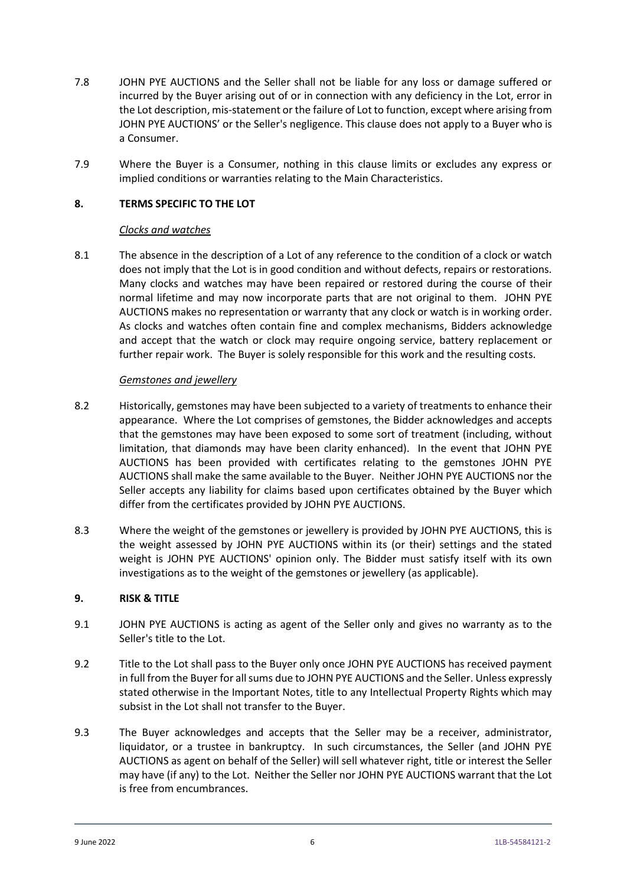- 7.8 JOHN PYE AUCTIONS and the Seller shall not be liable for any loss or damage suffered or incurred by the Buyer arising out of or in connection with any deficiency in the Lot, error in the Lot description, mis-statement or the failure of Lot to function, except where arising from JOHN PYE AUCTIONS' or the Seller's negligence. This clause does not apply to a Buyer who is a Consumer.
- 7.9 Where the Buyer is a Consumer, nothing in this clause limits or excludes any express or implied conditions or warranties relating to the Main Characteristics.

### **8. TERMS SPECIFIC TO THE LOT**

#### *Clocks and watches*

8.1 The absence in the description of a Lot of any reference to the condition of a clock or watch does not imply that the Lot is in good condition and without defects, repairs or restorations. Many clocks and watches may have been repaired or restored during the course of their normal lifetime and may now incorporate parts that are not original to them. JOHN PYE AUCTIONS makes no representation or warranty that any clock or watch is in working order. As clocks and watches often contain fine and complex mechanisms, Bidders acknowledge and accept that the watch or clock may require ongoing service, battery replacement or further repair work. The Buyer is solely responsible for this work and the resulting costs.

### *Gemstones and jewellery*

- 8.2 Historically, gemstones may have been subjected to a variety of treatments to enhance their appearance. Where the Lot comprises of gemstones, the Bidder acknowledges and accepts that the gemstones may have been exposed to some sort of treatment (including, without limitation, that diamonds may have been clarity enhanced). In the event that JOHN PYE AUCTIONS has been provided with certificates relating to the gemstones JOHN PYE AUCTIONS shall make the same available to the Buyer. Neither JOHN PYE AUCTIONS nor the Seller accepts any liability for claims based upon certificates obtained by the Buyer which differ from the certificates provided by JOHN PYE AUCTIONS.
- 8.3 Where the weight of the gemstones or jewellery is provided by JOHN PYE AUCTIONS, this is the weight assessed by JOHN PYE AUCTIONS within its (or their) settings and the stated weight is JOHN PYE AUCTIONS' opinion only. The Bidder must satisfy itself with its own investigations as to the weight of the gemstones or jewellery (as applicable).

#### **9. RISK & TITLE**

- <span id="page-7-0"></span>9.1 JOHN PYE AUCTIONS is acting as agent of the Seller only and gives no warranty as to the Seller's title to the Lot.
- 9.2 Title to the Lot shall pass to the Buyer only once JOHN PYE AUCTIONS has received payment in full from the Buyer for all sums due to JOHN PYE AUCTIONS and the Seller. Unless expressly stated otherwise in the Important Notes, title to any Intellectual Property Rights which may subsist in the Lot shall not transfer to the Buyer.
- 9.3 The Buyer acknowledges and accepts that the Seller may be a receiver, administrator, liquidator, or a trustee in bankruptcy. In such circumstances, the Seller (and JOHN PYE AUCTIONS as agent on behalf of the Seller) will sell whatever right, title or interest the Seller may have (if any) to the Lot. Neither the Seller nor JOHN PYE AUCTIONS warrant that the Lot is free from encumbrances.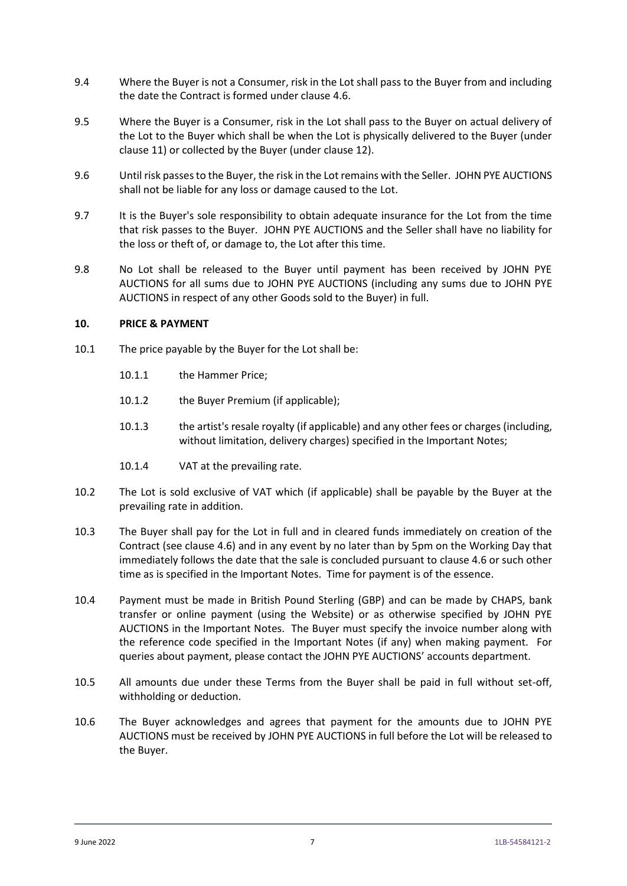- 9.4 Where the Buyer is not a Consumer, risk in the Lot shall pass to the Buyer from and including the date the Contract is formed under claus[e 4.6.](#page-5-0)
- 9.5 Where the Buyer is a Consumer, risk in the Lot shall pass to the Buyer on actual delivery of the Lot to the Buyer which shall be when the Lot is physically delivered to the Buyer (under clause [11\)](#page-9-0) or collected by the Buyer (under clause [12\)](#page-10-0).
- 9.6 Until risk passes to the Buyer, the risk in the Lot remains with the Seller. JOHN PYE AUCTIONS shall not be liable for any loss or damage caused to the Lot.
- 9.7 It is the Buyer's sole responsibility to obtain adequate insurance for the Lot from the time that risk passes to the Buyer. JOHN PYE AUCTIONS and the Seller shall have no liability for the loss or theft of, or damage to, the Lot after this time.
- 9.8 No Lot shall be released to the Buyer until payment has been received by JOHN PYE AUCTIONS for all sums due to JOHN PYE AUCTIONS (including any sums due to JOHN PYE AUCTIONS in respect of any other Goods sold to the Buyer) in full.

#### **10. PRICE & PAYMENT**

- 10.1 The price payable by the Buyer for the Lot shall be:
	- 10.1.1 the Hammer Price;
	- 10.1.2 the Buyer Premium (if applicable);
	- 10.1.3 the artist's resale royalty (if applicable) and any other fees or charges (including, without limitation, delivery charges) specified in the Important Notes;
	- 10.1.4 VAT at the prevailing rate.
- 10.2 The Lot is sold exclusive of VAT which (if applicable) shall be payable by the Buyer at the prevailing rate in addition.
- <span id="page-8-0"></span>10.3 The Buyer shall pay for the Lot in full and in cleared funds immediately on creation of the Contract (see clause [4.6\)](#page-5-0) and in any event by no later than by 5pm on the Working Day that immediately follows the date that the sale is concluded pursuant to claus[e 4.6](#page-5-0) or such other time as is specified in the Important Notes. Time for payment is of the essence.
- 10.4 Payment must be made in British Pound Sterling (GBP) and can be made by CHAPS, bank transfer or online payment (using the Website) or as otherwise specified by JOHN PYE AUCTIONS in the Important Notes. The Buyer must specify the invoice number along with the reference code specified in the Important Notes (if any) when making payment. For queries about payment, please contact the JOHN PYE AUCTIONS' accounts department.
- 10.5 All amounts due under these Terms from the Buyer shall be paid in full without set-off, withholding or deduction.
- 10.6 The Buyer acknowledges and agrees that payment for the amounts due to JOHN PYE AUCTIONS must be received by JOHN PYE AUCTIONS in full before the Lot will be released to the Buyer.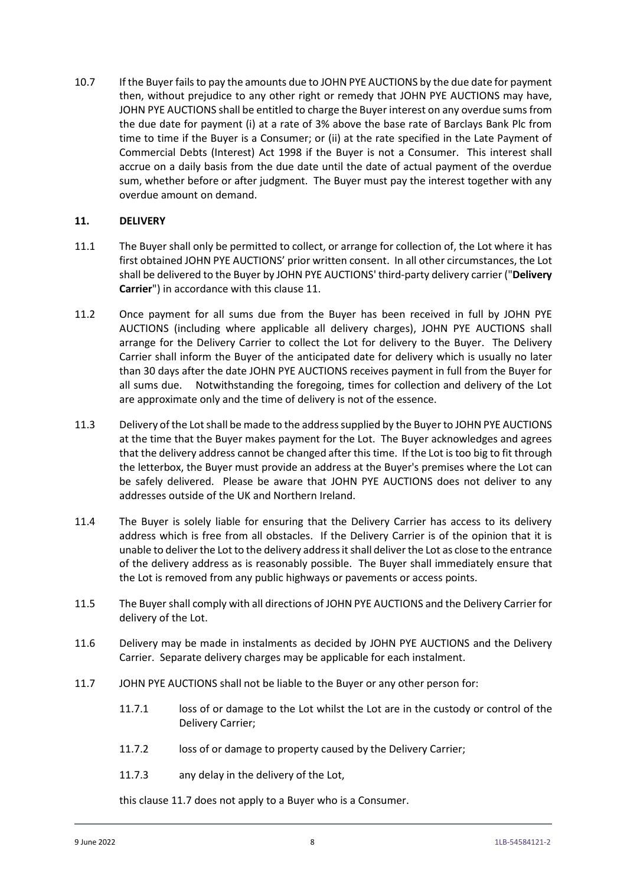10.7 If the Buyer fails to pay the amounts due to JOHN PYE AUCTIONS by the due date for payment then, without prejudice to any other right or remedy that JOHN PYE AUCTIONS may have, JOHN PYE AUCTIONS shall be entitled to charge the Buyer interest on any overdue sums from the due date for payment (i) at a rate of 3% above the base rate of Barclays Bank Plc from time to time if the Buyer is a Consumer; or (ii) at the rate specified in the Late Payment of Commercial Debts (Interest) Act 1998 if the Buyer is not a Consumer. This interest shall accrue on a daily basis from the due date until the date of actual payment of the overdue sum, whether before or after judgment. The Buyer must pay the interest together with any overdue amount on demand.

### <span id="page-9-0"></span>**11. DELIVERY**

- 11.1 The Buyer shall only be permitted to collect, or arrange for collection of, the Lot where it has first obtained JOHN PYE AUCTIONS' prior written consent. In all other circumstances, the Lot shall be delivered to the Buyer by JOHN PYE AUCTIONS' third-party delivery carrier ("**Delivery Carrier**") in accordance with this clause [11.](#page-9-0)
- 11.2 Once payment for all sums due from the Buyer has been received in full by JOHN PYE AUCTIONS (including where applicable all delivery charges), JOHN PYE AUCTIONS shall arrange for the Delivery Carrier to collect the Lot for delivery to the Buyer. The Delivery Carrier shall inform the Buyer of the anticipated date for delivery which is usually no later than 30 days after the date JOHN PYE AUCTIONS receives payment in full from the Buyer for all sums due. Notwithstanding the foregoing, times for collection and delivery of the Lot are approximate only and the time of delivery is not of the essence.
- 11.3 Delivery of the Lot shall be made to the address supplied by the Buyer to JOHN PYE AUCTIONS at the time that the Buyer makes payment for the Lot. The Buyer acknowledges and agrees that the delivery address cannot be changed after this time. If the Lot is too big to fit through the letterbox, the Buyer must provide an address at the Buyer's premises where the Lot can be safely delivered. Please be aware that JOHN PYE AUCTIONS does not deliver to any addresses outside of the UK and Northern Ireland.
- 11.4 The Buyer is solely liable for ensuring that the Delivery Carrier has access to its delivery address which is free from all obstacles. If the Delivery Carrier is of the opinion that it is unable to deliver the Lot to the delivery address it shall deliver the Lot as close to the entrance of the delivery address as is reasonably possible. The Buyer shall immediately ensure that the Lot is removed from any public highways or pavements or access points.
- 11.5 The Buyer shall comply with all directions of JOHN PYE AUCTIONS and the Delivery Carrier for delivery of the Lot.
- 11.6 Delivery may be made in instalments as decided by JOHN PYE AUCTIONS and the Delivery Carrier. Separate delivery charges may be applicable for each instalment.
- <span id="page-9-1"></span>11.7 JOHN PYE AUCTIONS shall not be liable to the Buyer or any other person for:
	- 11.7.1 loss of or damage to the Lot whilst the Lot are in the custody or control of the Delivery Carrier;
	- 11.7.2 loss of or damage to property caused by the Delivery Carrier;
	- 11.7.3 any delay in the delivery of the Lot,

this claus[e 11.7](#page-9-1) does not apply to a Buyer who is a Consumer.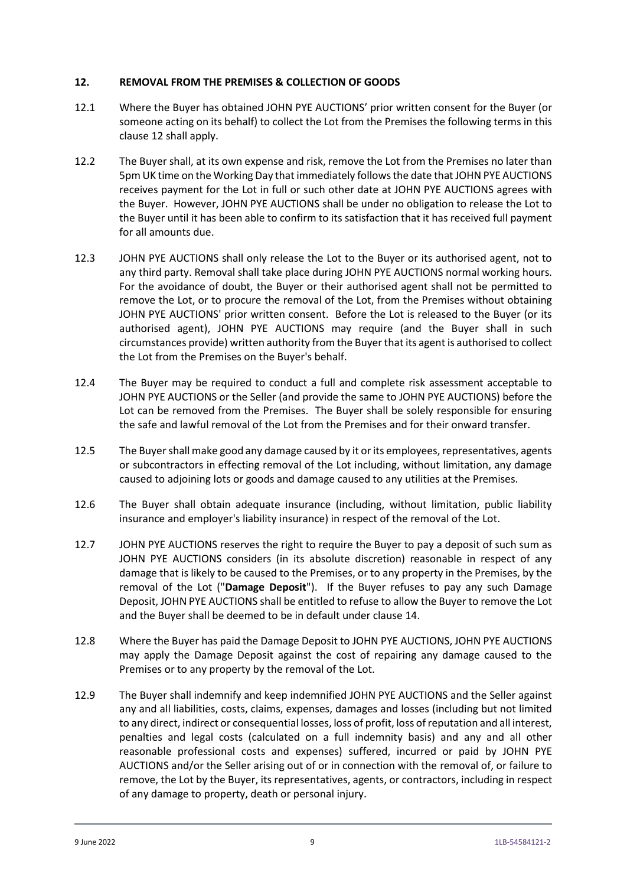### <span id="page-10-0"></span>**12. REMOVAL FROM THE PREMISES & COLLECTION OF GOODS**

- <span id="page-10-1"></span>12.1 Where the Buyer has obtained JOHN PYE AUCTIONS' prior written consent for the Buyer (or someone acting on its behalf) to collect the Lot from the Premises the following terms in this clause [12](#page-10-0) shall apply.
- <span id="page-10-2"></span>12.2 The Buyer shall, at its own expense and risk, remove the Lot from the Premises no later than 5pm UK time on the Working Day that immediately follows the date that JOHN PYE AUCTIONS receives payment for the Lot in full or such other date at JOHN PYE AUCTIONS agrees with the Buyer. However, JOHN PYE AUCTIONS shall be under no obligation to release the Lot to the Buyer until it has been able to confirm to its satisfaction that it has received full payment for all amounts due.
- 12.3 JOHN PYE AUCTIONS shall only release the Lot to the Buyer or its authorised agent, not to any third party. Removal shall take place during JOHN PYE AUCTIONS normal working hours. For the avoidance of doubt, the Buyer or their authorised agent shall not be permitted to remove the Lot, or to procure the removal of the Lot, from the Premises without obtaining JOHN PYE AUCTIONS' prior written consent. Before the Lot is released to the Buyer (or its authorised agent), JOHN PYE AUCTIONS may require (and the Buyer shall in such circumstances provide) written authority from the Buyer that its agent is authorised to collect the Lot from the Premises on the Buyer's behalf.
- 12.4 The Buyer may be required to conduct a full and complete risk assessment acceptable to JOHN PYE AUCTIONS or the Seller (and provide the same to JOHN PYE AUCTIONS) before the Lot can be removed from the Premises. The Buyer shall be solely responsible for ensuring the safe and lawful removal of the Lot from the Premises and for their onward transfer.
- 12.5 The Buyer shall make good any damage caused by it or its employees, representatives, agents or subcontractors in effecting removal of the Lot including, without limitation, any damage caused to adjoining lots or goods and damage caused to any utilities at the Premises.
- 12.6 The Buyer shall obtain adequate insurance (including, without limitation, public liability insurance and employer's liability insurance) in respect of the removal of the Lot.
- 12.7 JOHN PYE AUCTIONS reserves the right to require the Buyer to pay a deposit of such sum as JOHN PYE AUCTIONS considers (in its absolute discretion) reasonable in respect of any damage that is likely to be caused to the Premises, or to any property in the Premises, by the removal of the Lot ("**Damage Deposit**"). If the Buyer refuses to pay any such Damage Deposit, JOHN PYE AUCTIONS shall be entitled to refuse to allow the Buyer to remove the Lot and the Buyer shall be deemed to be in default under clause [14.](#page-11-0)
- 12.8 Where the Buyer has paid the Damage Deposit to JOHN PYE AUCTIONS, JOHN PYE AUCTIONS may apply the Damage Deposit against the cost of repairing any damage caused to the Premises or to any property by the removal of the Lot.
- 12.9 The Buyer shall indemnify and keep indemnified JOHN PYE AUCTIONS and the Seller against any and all liabilities, costs, claims, expenses, damages and losses (including but not limited to any direct, indirect or consequential losses, loss of profit, loss of reputation and all interest, penalties and legal costs (calculated on a full indemnity basis) and any and all other reasonable professional costs and expenses) suffered, incurred or paid by JOHN PYE AUCTIONS and/or the Seller arising out of or in connection with the removal of, or failure to remove, the Lot by the Buyer, its representatives, agents, or contractors, including in respect of any damage to property, death or personal injury.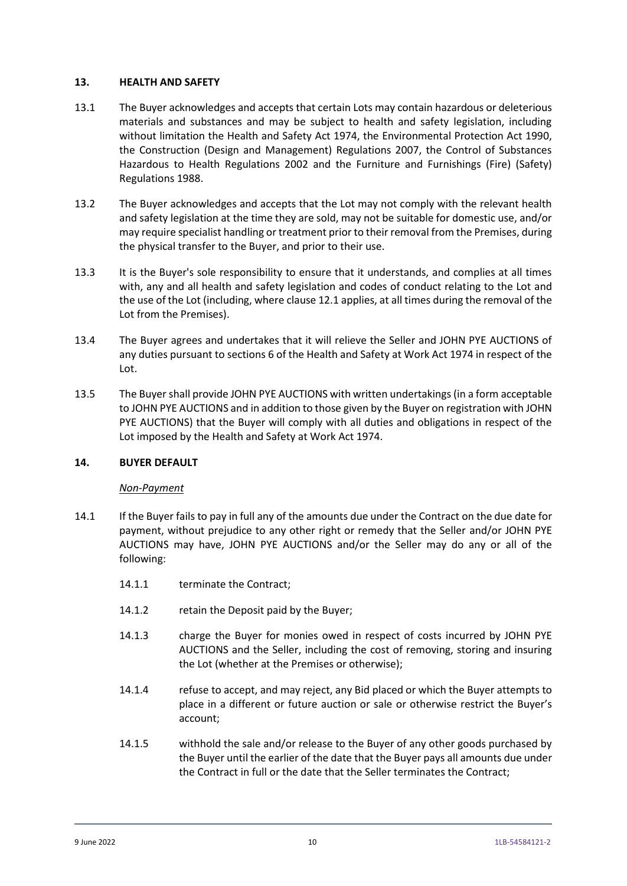### **13. HEALTH AND SAFETY**

- 13.1 The Buyer acknowledges and accepts that certain Lots may contain hazardous or deleterious materials and substances and may be subject to health and safety legislation, including without limitation the Health and Safety Act 1974, the Environmental Protection Act 1990, the Construction (Design and Management) Regulations 2007, the Control of Substances Hazardous to Health Regulations 2002 and the Furniture and Furnishings (Fire) (Safety) Regulations 1988.
- 13.2 The Buyer acknowledges and accepts that the Lot may not comply with the relevant health and safety legislation at the time they are sold, may not be suitable for domestic use, and/or may require specialist handling or treatment prior to their removal from the Premises, during the physical transfer to the Buyer, and prior to their use.
- <span id="page-11-1"></span>13.3 It is the Buyer's sole responsibility to ensure that it understands, and complies at all times with, any and all health and safety legislation and codes of conduct relating to the Lot and the use of the Lot (including, where claus[e 12.1](#page-10-1) applies, at all times during the removal of the Lot from the Premises).
- 13.4 The Buyer agrees and undertakes that it will relieve the Seller and JOHN PYE AUCTIONS of any duties pursuant to sections 6 of the Health and Safety at Work Act 1974 in respect of the Lot.
- 13.5 The Buyer shall provide JOHN PYE AUCTIONS with written undertakings (in a form acceptable to JOHN PYE AUCTIONS and in addition to those given by the Buyer on registration with JOHN PYE AUCTIONS) that the Buyer will comply with all duties and obligations in respect of the Lot imposed by the Health and Safety at Work Act 1974.

## <span id="page-11-0"></span>**14. BUYER DEFAULT**

## *Non-Payment*

- 14.1 If the Buyer fails to pay in full any of the amounts due under the Contract on the due date for payment, without prejudice to any other right or remedy that the Seller and/or JOHN PYE AUCTIONS may have, JOHN PYE AUCTIONS and/or the Seller may do any or all of the following:
	- 14.1.1 terminate the Contract;
	- 14.1.2 retain the Deposit paid by the Buyer;
	- 14.1.3 charge the Buyer for monies owed in respect of costs incurred by JOHN PYE AUCTIONS and the Seller, including the cost of removing, storing and insuring the Lot (whether at the Premises or otherwise);
	- 14.1.4 refuse to accept, and may reject, any Bid placed or which the Buyer attempts to place in a different or future auction or sale or otherwise restrict the Buyer's account;
	- 14.1.5 withhold the sale and/or release to the Buyer of any other goods purchased by the Buyer until the earlier of the date that the Buyer pays all amounts due under the Contract in full or the date that the Seller terminates the Contract;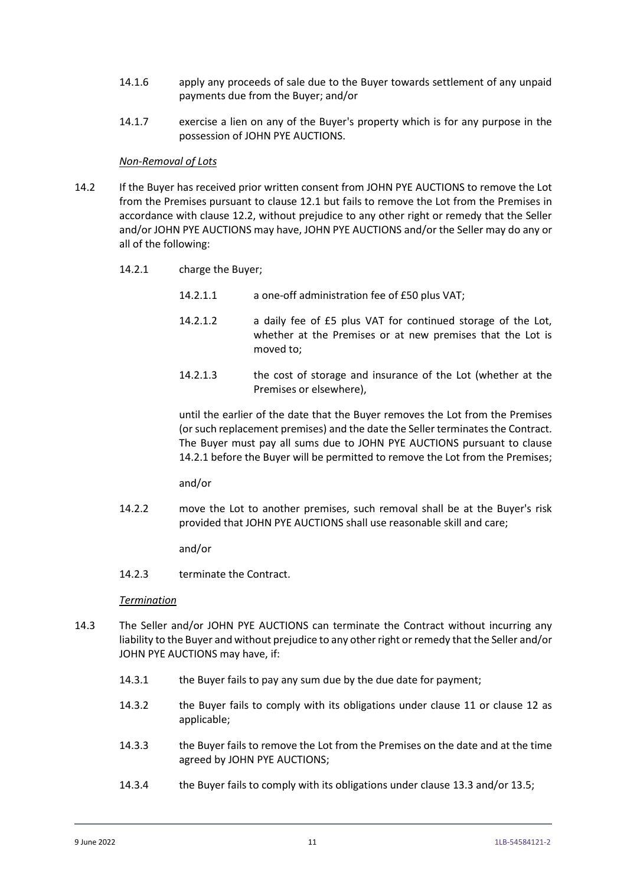- 14.1.6 apply any proceeds of sale due to the Buyer towards settlement of any unpaid payments due from the Buyer; and/or
- 14.1.7 exercise a lien on any of the Buyer's property which is for any purpose in the possession of JOHN PYE AUCTIONS.

#### *Non-Removal of Lots*

- 14.2 If the Buyer has received prior written consent from JOHN PYE AUCTIONS to remove the Lot from the Premises pursuant to clause [12.1](#page-10-1) but fails to remove the Lot from the Premises in accordance with clause [12.2,](#page-10-2) without prejudice to any other right or remedy that the Seller and/or JOHN PYE AUCTIONS may have, JOHN PYE AUCTIONS and/or the Seller may do any or all of the following:
	- 14.2.1 charge the Buyer;
		- 14.2.1.1 a one-off administration fee of £50 plus VAT;
		- 14.2.1.2 a daily fee of £5 plus VAT for continued storage of the Lot, whether at the Premises or at new premises that the Lot is moved to;
		- 14.2.1.3 the cost of storage and insurance of the Lot (whether at the Premises or elsewhere),

until the earlier of the date that the Buyer removes the Lot from the Premises (or such replacement premises) and the date the Seller terminates the Contract. The Buyer must pay all sums due to JOHN PYE AUCTIONS pursuant to clause 14.2.1 before the Buyer will be permitted to remove the Lot from the Premises;

and/or

14.2.2 move the Lot to another premises, such removal shall be at the Buyer's risk provided that JOHN PYE AUCTIONS shall use reasonable skill and care;

and/or

14.2.3 terminate the Contract.

#### *Termination*

- 14.3 The Seller and/or JOHN PYE AUCTIONS can terminate the Contract without incurring any liability to the Buyer and without prejudice to any other right or remedy that the Seller and/or JOHN PYE AUCTIONS may have, if:
	- 14.3.1 the Buyer fails to pay any sum due by the due date for payment;
	- 14.3.2 the Buyer fails to comply with its obligations under clause [11](#page-9-0) or clause [12](#page-10-0) as applicable;
	- 14.3.3 the Buyer fails to remove the Lot from the Premises on the date and at the time agreed by JOHN PYE AUCTIONS;
	- 14.3.4 the Buyer fails to comply with its obligations under clause [13.3](#page-11-1) and/or 13.5;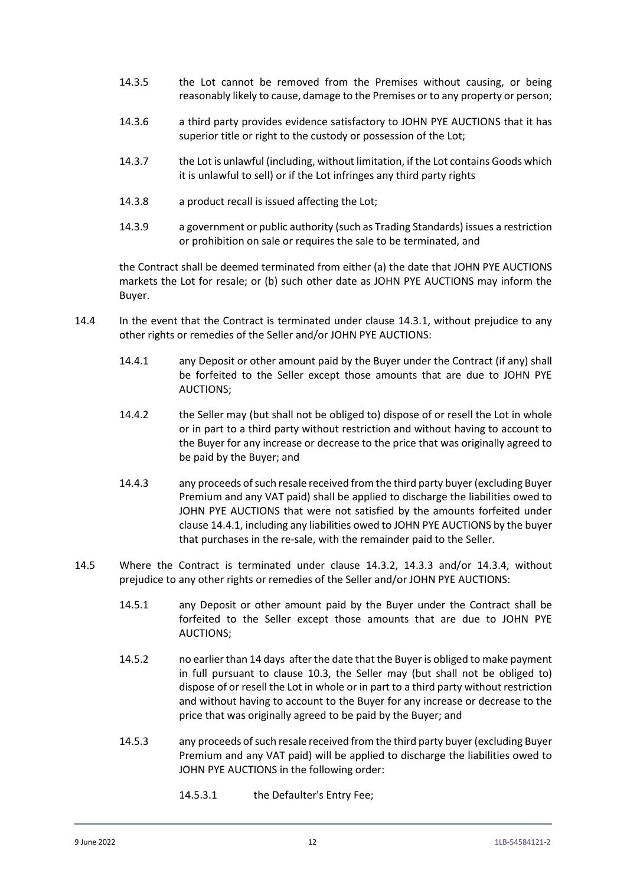- <span id="page-13-2"></span>14.3.5 the Lot cannot be removed from the Premises without causing, or being reasonably likely to cause, damage to the Premises or to any property or person;
- <span id="page-13-3"></span>14.3.6 a third party provides evidence satisfactory to JOHN PYE AUCTIONS that it has superior title or right to the custody or possession of the Lot;
- <span id="page-13-4"></span>14.3.7 the Lot is unlawful (including, without limitation, if the Lot contains Goods which it is unlawful to sell) or if the Lot infringes any third party rights
- <span id="page-13-5"></span>14.3.8 a product recall is issued affecting the Lot;
- <span id="page-13-6"></span>14.3.9 a government or public authority (such as Trading Standards) issues a restriction or prohibition on sale or requires the sale to be terminated, and

the Contract shall be deemed terminated from either (a) the date that JOHN PYE AUCTIONS markets the Lot for resale; or (b) such other date as JOHN PYE AUCTIONS may inform the Buyer.

- <span id="page-13-0"></span>14.4 In the event that the Contract is terminated under clause 14.3.1, without prejudice to any other rights or remedies of the Seller and/or JOHN PYE AUCTIONS:
	- 14.4.1 any Deposit or other amount paid by the Buyer under the Contract (if any) shall be forfeited to the Seller except those amounts that are due to JOHN PYE AUCTIONS;
	- 14.4.2 the Seller may (but shall not be obliged to) dispose of or resell the Lot in whole or in part to a third party without restriction and without having to account to the Buyer for any increase or decrease to the price that was originally agreed to be paid by the Buyer; and
	- 14.4.3 any proceeds of such resale received from the third party buyer (excluding Buyer Premium and any VAT paid) shall be applied to discharge the liabilities owed to JOHN PYE AUCTIONS that were not satisfied by the amounts forfeited under claus[e 14.4.1,](#page-13-0) including any liabilities owed to JOHN PYE AUCTIONS by the buyer that purchases in the re-sale, with the remainder paid to the Seller.
- <span id="page-13-1"></span>14.5 Where the Contract is terminated under clause 14.3.2, 14.3.3 and/or 14.3.4, without prejudice to any other rights or remedies of the Seller and/or JOHN PYE AUCTIONS:
	- 14.5.1 any Deposit or other amount paid by the Buyer under the Contract shall be forfeited to the Seller except those amounts that are due to JOHN PYE AUCTIONS;
	- 14.5.2 no earlier than 14 days after the date that the Buyer is obliged to make payment in full pursuant to clause [10.3,](#page-8-0) the Seller may (but shall not be obliged to) dispose of or resell the Lot in whole or in part to a third party without restriction and without having to account to the Buyer for any increase or decrease to the price that was originally agreed to be paid by the Buyer; and
	- 14.5.3 any proceeds of such resale received from the third party buyer (excluding Buyer Premium and any VAT paid) will be applied to discharge the liabilities owed to JOHN PYE AUCTIONS in the following order:
		- 14.5.3.1 the Defaulter's Entry Fee;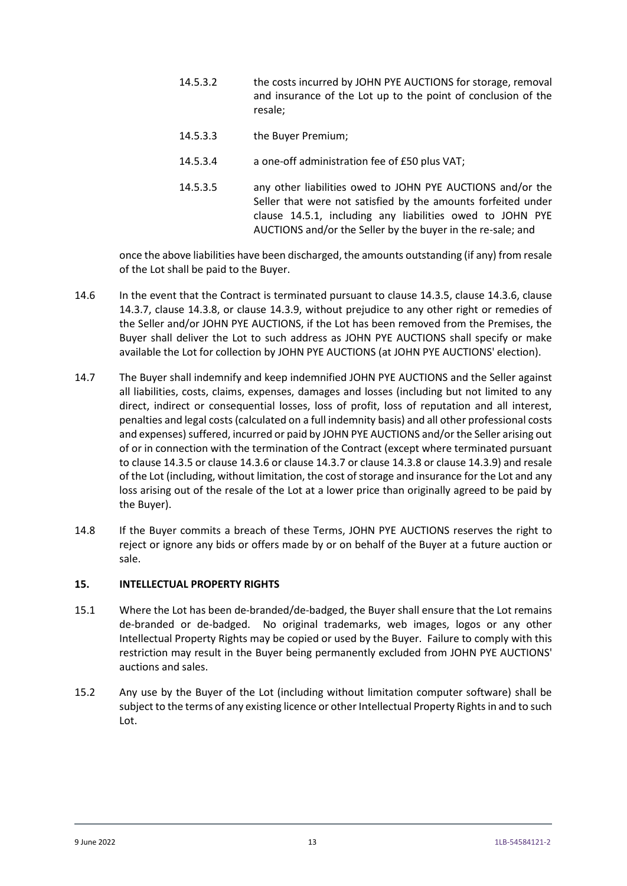- 14.5.3.2 the costs incurred by JOHN PYE AUCTIONS for storage, removal and insurance of the Lot up to the point of conclusion of the resale;
- 14.5.3.3 the Buyer Premium;
- 14.5.3.4 a one-off administration fee of £50 plus VAT;
- 14.5.3.5 any other liabilities owed to JOHN PYE AUCTIONS and/or the Seller that were not satisfied by the amounts forfeited under clause [14.5.1,](#page-13-1) including any liabilities owed to JOHN PYE AUCTIONS and/or the Seller by the buyer in the re-sale; and

once the above liabilities have been discharged, the amounts outstanding (if any) from resale of the Lot shall be paid to the Buyer.

- 14.6 In the event that the Contract is terminated pursuant to clause [14.3.5,](#page-13-2) clause [14.3.6,](#page-13-3) clause [14.3.7,](#page-13-4) clause [14.3.8,](#page-13-5) or clause [14.3.9,](#page-13-6) without prejudice to any other right or remedies of the Seller and/or JOHN PYE AUCTIONS, if the Lot has been removed from the Premises, the Buyer shall deliver the Lot to such address as JOHN PYE AUCTIONS shall specify or make available the Lot for collection by JOHN PYE AUCTIONS (at JOHN PYE AUCTIONS' election).
- 14.7 The Buyer shall indemnify and keep indemnified JOHN PYE AUCTIONS and the Seller against all liabilities, costs, claims, expenses, damages and losses (including but not limited to any direct, indirect or consequential losses, loss of profit, loss of reputation and all interest, penalties and legal costs (calculated on a full indemnity basis) and all other professional costs and expenses) suffered, incurred or paid by JOHN PYE AUCTIONS and/or the Seller arising out of or in connection with the termination of the Contract (except where terminated pursuant to clause [14.3.5](#page-13-2) or clause [14.3.6](#page-13-3) or claus[e 14.3.7](#page-13-4) or clause 14.3.8 or clause 14.3.9) and resale of the Lot (including, without limitation, the cost of storage and insurance for the Lot and any loss arising out of the resale of the Lot at a lower price than originally agreed to be paid by the Buyer).
- 14.8 If the Buyer commits a breach of these Terms, JOHN PYE AUCTIONS reserves the right to reject or ignore any bids or offers made by or on behalf of the Buyer at a future auction or sale.

## **15. INTELLECTUAL PROPERTY RIGHTS**

- 15.1 Where the Lot has been de-branded/de-badged, the Buyer shall ensure that the Lot remains de-branded or de-badged. No original trademarks, web images, logos or any other Intellectual Property Rights may be copied or used by the Buyer. Failure to comply with this restriction may result in the Buyer being permanently excluded from JOHN PYE AUCTIONS' auctions and sales.
- 15.2 Any use by the Buyer of the Lot (including without limitation computer software) shall be subject to the terms of any existing licence or other Intellectual Property Rights in and to such Lot.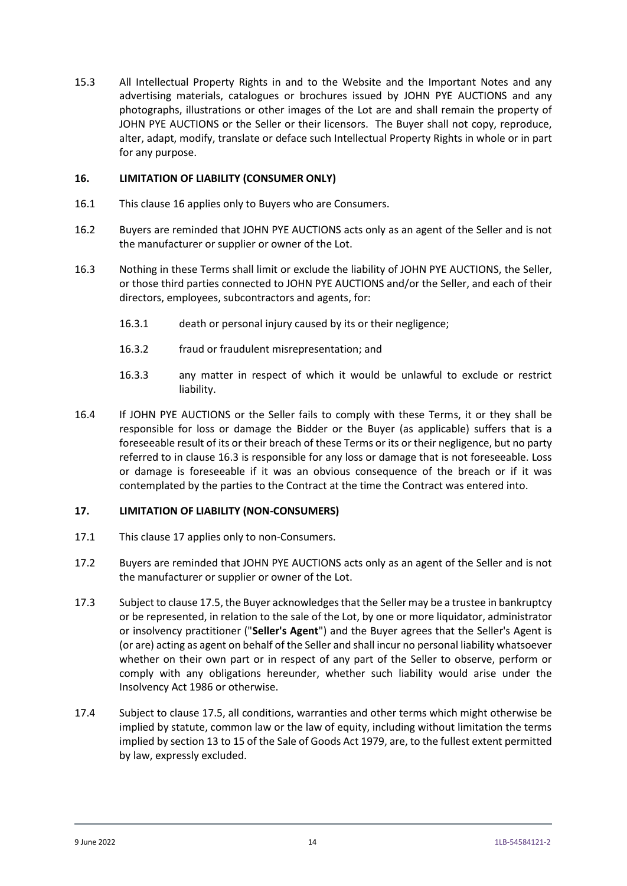15.3 All Intellectual Property Rights in and to the Website and the Important Notes and any advertising materials, catalogues or brochures issued by JOHN PYE AUCTIONS and any photographs, illustrations or other images of the Lot are and shall remain the property of JOHN PYE AUCTIONS or the Seller or their licensors. The Buyer shall not copy, reproduce, alter, adapt, modify, translate or deface such Intellectual Property Rights in whole or in part for any purpose.

### <span id="page-15-0"></span>**16. LIMITATION OF LIABILITY (CONSUMER ONLY)**

- 16.1 This clause [16](#page-15-0) applies only to Buyers who are Consumers.
- 16.2 Buyers are reminded that JOHN PYE AUCTIONS acts only as an agent of the Seller and is not the manufacturer or supplier or owner of the Lot.
- <span id="page-15-2"></span>16.3 Nothing in these Terms shall limit or exclude the liability of JOHN PYE AUCTIONS, the Seller, or those third parties connected to JOHN PYE AUCTIONS and/or the Seller, and each of their directors, employees, subcontractors and agents, for:
	- 16.3.1 death or personal injury caused by its or their negligence;
	- 16.3.2 fraud or fraudulent misrepresentation; and
	- 16.3.3 any matter in respect of which it would be unlawful to exclude or restrict liability.
- 16.4 If JOHN PYE AUCTIONS or the Seller fails to comply with these Terms, it or they shall be responsible for loss or damage the Bidder or the Buyer (as applicable) suffers that is a foreseeable result of its or their breach of these Terms or its or their negligence, but no party referred to in clause [16.3](#page-15-2) is responsible for any loss or damage that is not foreseeable. Loss or damage is foreseeable if it was an obvious consequence of the breach or if it was contemplated by the parties to the Contract at the time the Contract was entered into.

## <span id="page-15-1"></span>**17. LIMITATION OF LIABILITY (NON-CONSUMERS)**

- 17.1 This clause [17](#page-15-1) applies only to non-Consumers.
- 17.2 Buyers are reminded that JOHN PYE AUCTIONS acts only as an agent of the Seller and is not the manufacturer or supplier or owner of the Lot.
- 17.3 Subject to claus[e 17.5,](#page-16-0) the Buyer acknowledges that the Seller may be a trustee in bankruptcy or be represented, in relation to the sale of the Lot, by one or more liquidator, administrator or insolvency practitioner ("**Seller's Agent**") and the Buyer agrees that the Seller's Agent is (or are) acting as agent on behalf of the Seller and shall incur no personal liability whatsoever whether on their own part or in respect of any part of the Seller to observe, perform or comply with any obligations hereunder, whether such liability would arise under the Insolvency Act 1986 or otherwise.
- 17.4 Subject to clause [17.5,](#page-16-0) all conditions, warranties and other terms which might otherwise be implied by statute, common law or the law of equity, including without limitation the terms implied by section 13 to 15 of the Sale of Goods Act 1979, are, to the fullest extent permitted by law, expressly excluded.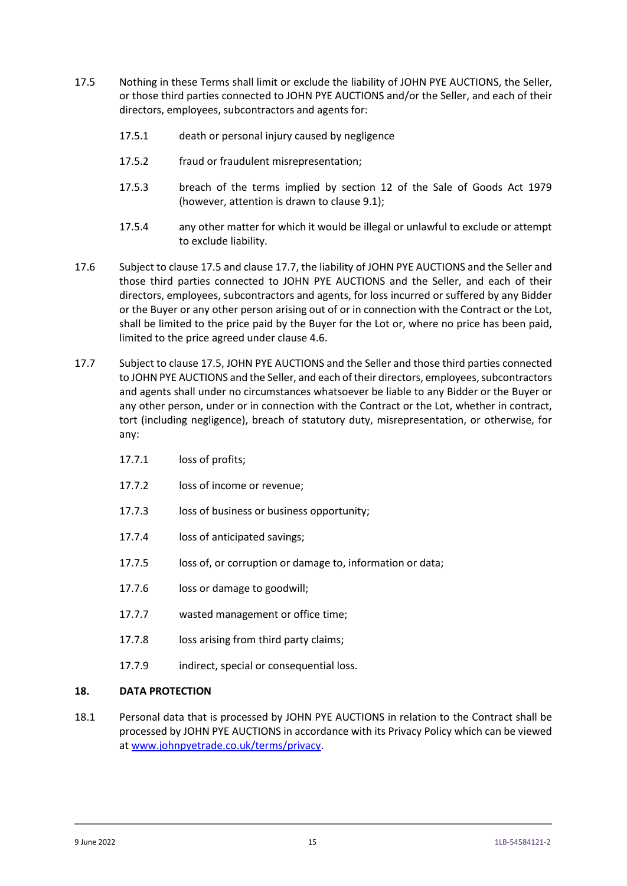- <span id="page-16-0"></span>17.5 Nothing in these Terms shall limit or exclude the liability of JOHN PYE AUCTIONS, the Seller, or those third parties connected to JOHN PYE AUCTIONS and/or the Seller, and each of their directors, employees, subcontractors and agents for:
	- 17.5.1 death or personal injury caused by negligence
	- 17.5.2 fraud or fraudulent misrepresentation;
	- 17.5.3 breach of the terms implied by section 12 of the Sale of Goods Act 1979 (however, attention is drawn to clause [9.1\)](#page-7-0);
	- 17.5.4 any other matter for which it would be illegal or unlawful to exclude or attempt to exclude liability.
- 17.6 Subject to claus[e 17.5](#page-16-0) and clause [17.7,](#page-16-1) the liability of JOHN PYE AUCTIONS and the Seller and those third parties connected to JOHN PYE AUCTIONS and the Seller, and each of their directors, employees, subcontractors and agents, for loss incurred or suffered by any Bidder or the Buyer or any other person arising out of or in connection with the Contract or the Lot, shall be limited to the price paid by the Buyer for the Lot or, where no price has been paid, limited to the price agreed under clause [4.6.](#page-5-0)
- <span id="page-16-1"></span>17.7 Subject to clause [17.5,](#page-16-0) JOHN PYE AUCTIONS and the Seller and those third parties connected to JOHN PYE AUCTIONS and the Seller, and each of their directors, employees, subcontractors and agents shall under no circumstances whatsoever be liable to any Bidder or the Buyer or any other person, under or in connection with the Contract or the Lot, whether in contract, tort (including negligence), breach of statutory duty, misrepresentation, or otherwise, for any:
	- 17.7.1 loss of profits;
	- 17.7.2 loss of income or revenue;
	- 17.7.3 loss of business or business opportunity;
	- 17.7.4 loss of anticipated savings;
	- 17.7.5 loss of, or corruption or damage to, information or data;
	- 17.7.6 loss or damage to goodwill;
	- 17.7.7 wasted management or office time;
	- 17.7.8 loss arising from third party claims;
	- 17.7.9 indirect, special or consequential loss.

#### **18. DATA PROTECTION**

18.1 Personal data that is processed by JOHN PYE AUCTIONS in relation to the Contract shall be processed by JOHN PYE AUCTIONS in accordance with its Privacy Policy which can be viewed at [www.johnpyetrade.co.uk/terms/privacy.](http://www.johnpyetrade.co.uk/terms/privacy)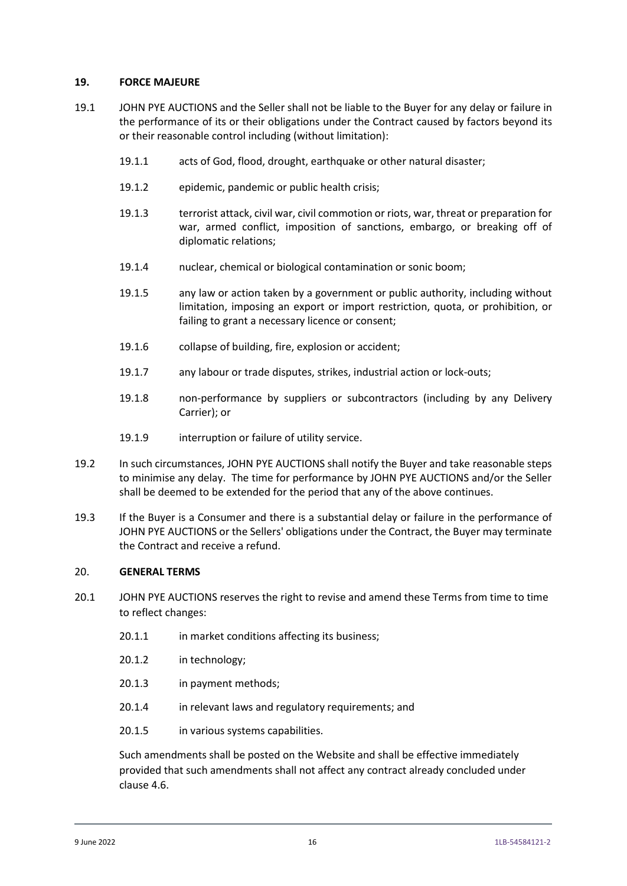### **19. FORCE MAJEURE**

- 19.1 JOHN PYE AUCTIONS and the Seller shall not be liable to the Buyer for any delay or failure in the performance of its or their obligations under the Contract caused by factors beyond its or their reasonable control including (without limitation):
	- 19.1.1 acts of God, flood, drought, earthquake or other natural disaster;
	- 19.1.2 epidemic, pandemic or public health crisis;
	- 19.1.3 terrorist attack, civil war, civil commotion or riots, war, threat or preparation for war, armed conflict, imposition of sanctions, embargo, or breaking off of diplomatic relations;
	- 19.1.4 nuclear, chemical or biological contamination or sonic boom;
	- 19.1.5 any law or action taken by a government or public authority, including without limitation, imposing an export or import restriction, quota, or prohibition, or failing to grant a necessary licence or consent;
	- 19.1.6 collapse of building, fire, explosion or accident;
	- 19.1.7 any labour or trade disputes, strikes, industrial action or lock-outs;
	- 19.1.8 non-performance by suppliers or subcontractors (including by any Delivery Carrier); or
	- 19.1.9 interruption or failure of utility service.
- 19.2 In such circumstances, JOHN PYE AUCTIONS shall notify the Buyer and take reasonable steps to minimise any delay. The time for performance by JOHN PYE AUCTIONS and/or the Seller shall be deemed to be extended for the period that any of the above continues.
- 19.3 If the Buyer is a Consumer and there is a substantial delay or failure in the performance of JOHN PYE AUCTIONS or the Sellers' obligations under the Contract, the Buyer may terminate the Contract and receive a refund.

#### 20. **GENERAL TERMS**

- 20.1 JOHN PYE AUCTIONS reserves the right to revise and amend these Terms from time to time to reflect changes:
	- 20.1.1 in market conditions affecting its business;
	- 20.1.2 in technology;
	- 20.1.3 in payment methods;
	- 20.1.4 in relevant laws and regulatory requirements; and
	- 20.1.5 in various systems capabilities.

Such amendments shall be posted on the Website and shall be effective immediately provided that such amendments shall not affect any contract already concluded under clause [4.6.](#page-5-0)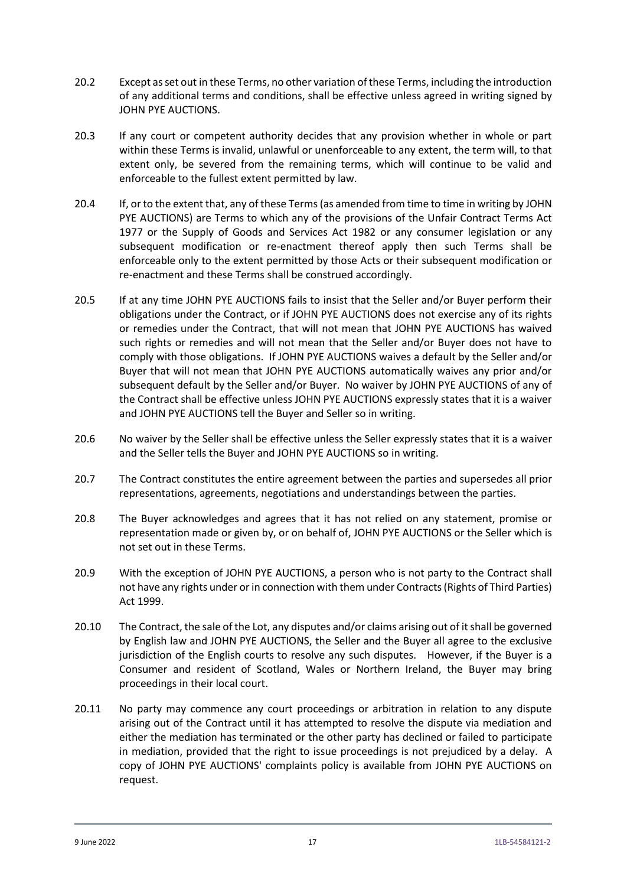- 20.2 Except as set out in these Terms, no other variation of these Terms, including the introduction of any additional terms and conditions, shall be effective unless agreed in writing signed by JOHN PYE AUCTIONS.
- 20.3 If any court or competent authority decides that any provision whether in whole or part within these Terms is invalid, unlawful or unenforceable to any extent, the term will, to that extent only, be severed from the remaining terms, which will continue to be valid and enforceable to the fullest extent permitted by law.
- 20.4 If, or to the extent that, any of these Terms (as amended from time to time in writing by JOHN PYE AUCTIONS) are Terms to which any of the provisions of the Unfair Contract Terms Act 1977 or the Supply of Goods and Services Act 1982 or any consumer legislation or any subsequent modification or re-enactment thereof apply then such Terms shall be enforceable only to the extent permitted by those Acts or their subsequent modification or re-enactment and these Terms shall be construed accordingly.
- 20.5 If at any time JOHN PYE AUCTIONS fails to insist that the Seller and/or Buyer perform their obligations under the Contract, or if JOHN PYE AUCTIONS does not exercise any of its rights or remedies under the Contract, that will not mean that JOHN PYE AUCTIONS has waived such rights or remedies and will not mean that the Seller and/or Buyer does not have to comply with those obligations. If JOHN PYE AUCTIONS waives a default by the Seller and/or Buyer that will not mean that JOHN PYE AUCTIONS automatically waives any prior and/or subsequent default by the Seller and/or Buyer. No waiver by JOHN PYE AUCTIONS of any of the Contract shall be effective unless JOHN PYE AUCTIONS expressly states that it is a waiver and JOHN PYE AUCTIONS tell the Buyer and Seller so in writing.
- 20.6 No waiver by the Seller shall be effective unless the Seller expressly states that it is a waiver and the Seller tells the Buyer and JOHN PYE AUCTIONS so in writing.
- 20.7 The Contract constitutes the entire agreement between the parties and supersedes all prior representations, agreements, negotiations and understandings between the parties.
- 20.8 The Buyer acknowledges and agrees that it has not relied on any statement, promise or representation made or given by, or on behalf of, JOHN PYE AUCTIONS or the Seller which is not set out in these Terms.
- 20.9 With the exception of JOHN PYE AUCTIONS, a person who is not party to the Contract shall not have any rights under or in connection with them under Contracts (Rights of Third Parties) Act 1999.
- 20.10 The Contract, the sale of the Lot, any disputes and/or claims arising out of it shall be governed by English law and JOHN PYE AUCTIONS, the Seller and the Buyer all agree to the exclusive jurisdiction of the English courts to resolve any such disputes. However, if the Buyer is a Consumer and resident of Scotland, Wales or Northern Ireland, the Buyer may bring proceedings in their local court.
- 20.11 No party may commence any court proceedings or arbitration in relation to any dispute arising out of the Contract until it has attempted to resolve the dispute via mediation and either the mediation has terminated or the other party has declined or failed to participate in mediation, provided that the right to issue proceedings is not prejudiced by a delay. A copy of JOHN PYE AUCTIONS' complaints policy is available from JOHN PYE AUCTIONS on request.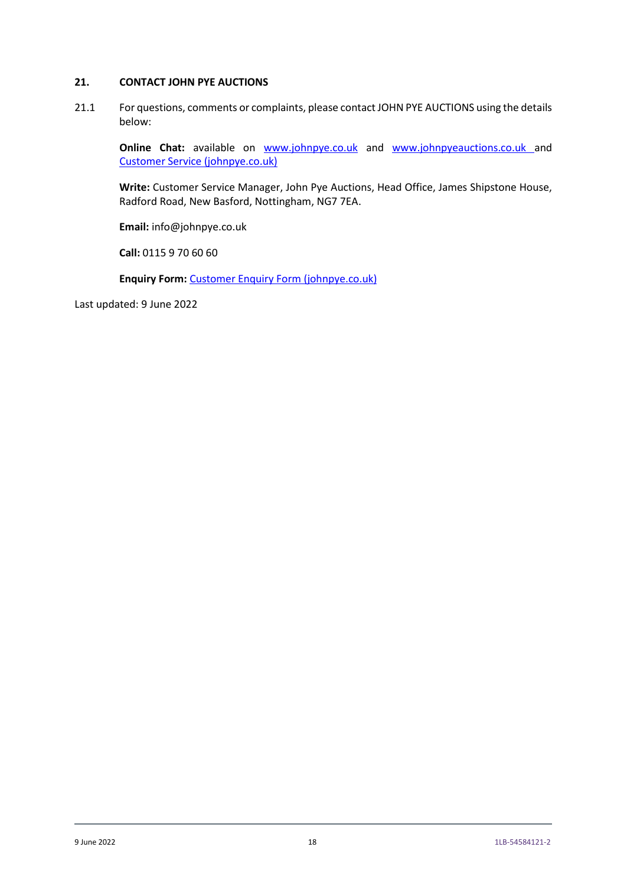## **21. CONTACT JOHN PYE AUCTIONS**

21.1 For questions, comments or complaints, please contact JOHN PYE AUCTIONS using the details below:

**Online Chat:** available on **[www.johnpye.co.uk](http://www.johnpye.co.uk/)** and **[www.johnpyeauctions.co.uk](http://www.johnpyeauctions.co.uk/)** and [Customer Service \(johnpye.co.uk\)](https://www.johnpye.co.uk/customer-service/)

**Write:** Customer Service Manager, John Pye Auctions, Head Office, James Shipstone House, Radford Road, New Basford, Nottingham, NG7 7EA.

**Email:** info@johnpye.co.uk

**Call:** 0115 9 70 60 60

**Enquiry Form:** [Customer Enquiry Form \(johnpye.co.uk\)](https://www.johnpye.co.uk/enquiry-form/)

Last updated: 9 June 2022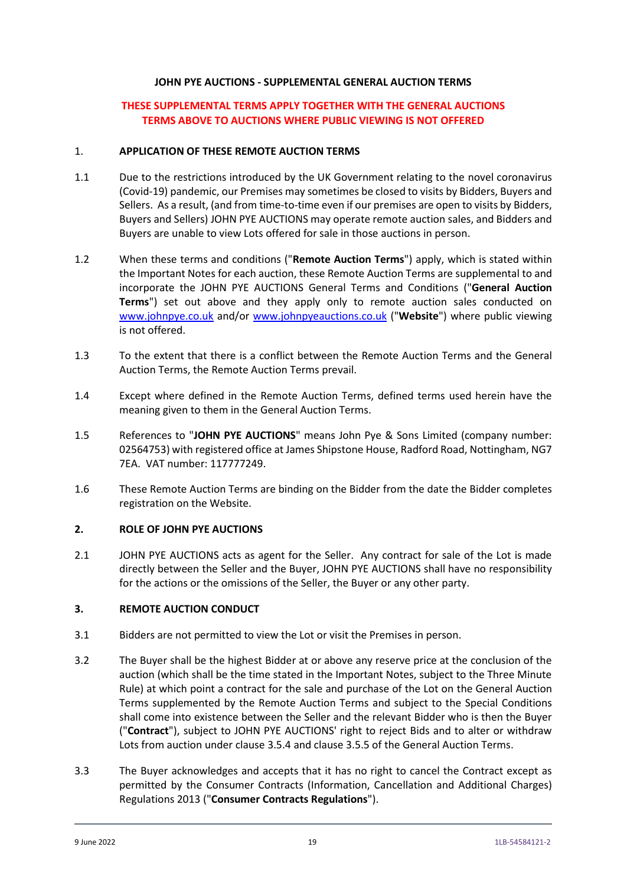#### **JOHN PYE AUCTIONS - SUPPLEMENTAL GENERAL AUCTION TERMS**

## **THESE SUPPLEMENTAL TERMS APPLY TOGETHER WITH THE GENERAL AUCTIONS TERMS ABOVE TO AUCTIONS WHERE PUBLIC VIEWING IS NOT OFFERED**

#### 1. **APPLICATION OF THESE REMOTE AUCTION TERMS**

- 1.1 Due to the restrictions introduced by the UK Government relating to the novel coronavirus (Covid-19) pandemic, our Premises may sometimes be closed to visits by Bidders, Buyers and Sellers. As a result, (and from time-to-time even if our premises are open to visits by Bidders, Buyers and Sellers) JOHN PYE AUCTIONS may operate remote auction sales, and Bidders and Buyers are unable to view Lots offered for sale in those auctions in person.
- 1.2 When these terms and conditions ("**Remote Auction Terms**") apply, which is stated within the Important Notes for each auction, these Remote Auction Terms are supplemental to and incorporate the JOHN PYE AUCTIONS General Terms and Conditions ("**General Auction Terms**") set out above and they apply only to remote auction sales conducted on [www.johnpye.co.uk](http://www.johnpye.co.uk/) and/or [www.johnpyeauctions.co.uk](http://www.johnpyeauctions.co.uk/) ("**Website**") where public viewing is not offered.
- 1.3 To the extent that there is a conflict between the Remote Auction Terms and the General Auction Terms, the Remote Auction Terms prevail.
- 1.4 Except where defined in the Remote Auction Terms, defined terms used herein have the meaning given to them in the General Auction Terms.
- 1.5 References to "**JOHN PYE AUCTIONS**" means John Pye & Sons Limited (company number: 02564753) with registered office at James Shipstone House, Radford Road, Nottingham, NG7 7EA. VAT number: 117777249.
- 1.6 These Remote Auction Terms are binding on the Bidder from the date the Bidder completes registration on the Website.

#### **2. ROLE OF JOHN PYE AUCTIONS**

2.1 JOHN PYE AUCTIONS acts as agent for the Seller. Any contract for sale of the Lot is made directly between the Seller and the Buyer, JOHN PYE AUCTIONS shall have no responsibility for the actions or the omissions of the Seller, the Buyer or any other party.

#### **3. REMOTE AUCTION CONDUCT**

- 3.1 Bidders are not permitted to view the Lot or visit the Premises in person.
- 3.2 The Buyer shall be the highest Bidder at or above any reserve price at the conclusion of the auction (which shall be the time stated in the Important Notes, subject to the Three Minute Rule) at which point a contract for the sale and purchase of the Lot on the General Auction Terms supplemented by the Remote Auction Terms and subject to the Special Conditions shall come into existence between the Seller and the relevant Bidder who is then the Buyer ("**Contract**"), subject to JOHN PYE AUCTIONS' right to reject Bids and to alter or withdraw Lots from auction under clause 3.5.4 and clause 3.5.5 of the General Auction Terms.
- 3.3 The Buyer acknowledges and accepts that it has no right to cancel the Contract except as permitted by the Consumer Contracts (Information, Cancellation and Additional Charges) Regulations 2013 ("**Consumer Contracts Regulations**").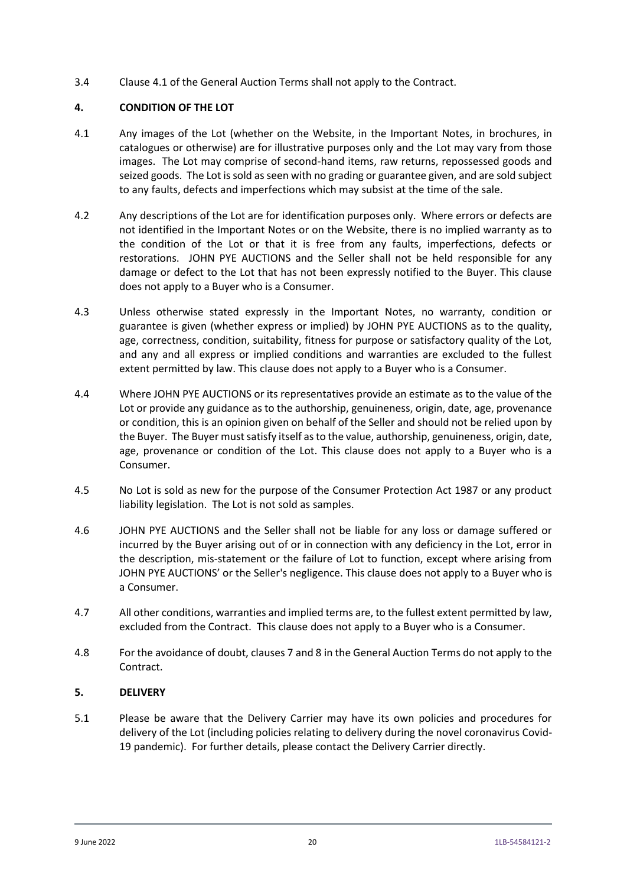3.4 Clause 4.1 of the General Auction Terms shall not apply to the Contract.

# **4. CONDITION OF THE LOT**

- 4.1 Any images of the Lot (whether on the Website, in the Important Notes, in brochures, in catalogues or otherwise) are for illustrative purposes only and the Lot may vary from those images. The Lot may comprise of second-hand items, raw returns, repossessed goods and seized goods. The Lot is sold as seen with no grading or guarantee given, and are sold subject to any faults, defects and imperfections which may subsist at the time of the sale.
- 4.2 Any descriptions of the Lot are for identification purposes only. Where errors or defects are not identified in the Important Notes or on the Website, there is no implied warranty as to the condition of the Lot or that it is free from any faults, imperfections, defects or restorations. JOHN PYE AUCTIONS and the Seller shall not be held responsible for any damage or defect to the Lot that has not been expressly notified to the Buyer. This clause does not apply to a Buyer who is a Consumer.
- 4.3 Unless otherwise stated expressly in the Important Notes, no warranty, condition or guarantee is given (whether express or implied) by JOHN PYE AUCTIONS as to the quality, age, correctness, condition, suitability, fitness for purpose or satisfactory quality of the Lot, and any and all express or implied conditions and warranties are excluded to the fullest extent permitted by law. This clause does not apply to a Buyer who is a Consumer.
- 4.4 Where JOHN PYE AUCTIONS or its representatives provide an estimate as to the value of the Lot or provide any guidance as to the authorship, genuineness, origin, date, age, provenance or condition, this is an opinion given on behalf of the Seller and should not be relied upon by the Buyer. The Buyer must satisfy itself as to the value, authorship, genuineness, origin, date, age, provenance or condition of the Lot. This clause does not apply to a Buyer who is a Consumer.
- 4.5 No Lot is sold as new for the purpose of the Consumer Protection Act 1987 or any product liability legislation. The Lot is not sold as samples.
- 4.6 JOHN PYE AUCTIONS and the Seller shall not be liable for any loss or damage suffered or incurred by the Buyer arising out of or in connection with any deficiency in the Lot, error in the description, mis-statement or the failure of Lot to function, except where arising from JOHN PYE AUCTIONS' or the Seller's negligence. This clause does not apply to a Buyer who is a Consumer.
- 4.7 All other conditions, warranties and implied terms are, to the fullest extent permitted by law, excluded from the Contract. This clause does not apply to a Buyer who is a Consumer.
- 4.8 For the avoidance of doubt, clauses 7 and 8 in the General Auction Terms do not apply to the Contract.

## **5. DELIVERY**

5.1 Please be aware that the Delivery Carrier may have its own policies and procedures for delivery of the Lot (including policies relating to delivery during the novel coronavirus Covid-19 pandemic). For further details, please contact the Delivery Carrier directly.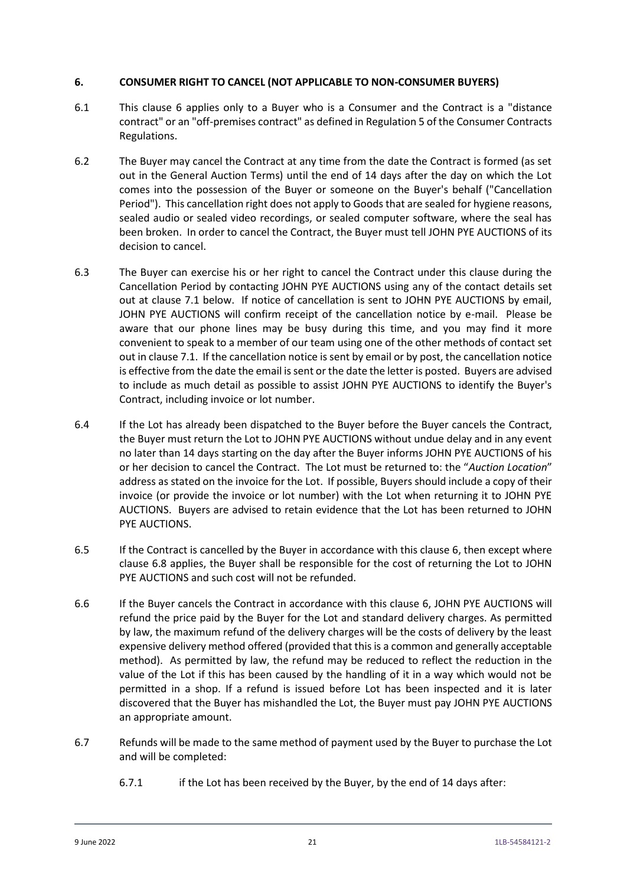### **6. CONSUMER RIGHT TO CANCEL (NOT APPLICABLE TO NON-CONSUMER BUYERS)**

- 6.1 This clause 6 applies only to a Buyer who is a Consumer and the Contract is a "distance contract" or an "off-premises contract" as defined in Regulation 5 of the Consumer Contracts Regulations.
- 6.2 The Buyer may cancel the Contract at any time from the date the Contract is formed (as set out in the General Auction Terms) until the end of 14 days after the day on which the Lot comes into the possession of the Buyer or someone on the Buyer's behalf ("Cancellation Period"). This cancellation right does not apply to Goods that are sealed for hygiene reasons, sealed audio or sealed video recordings, or sealed computer software, where the seal has been broken. In order to cancel the Contract, the Buyer must tell JOHN PYE AUCTIONS of its decision to cancel.
- 6.3 The Buyer can exercise his or her right to cancel the Contract under this clause during the Cancellation Period by contacting JOHN PYE AUCTIONS using any of the contact details set out at clause 7.1 below. If notice of cancellation is sent to JOHN PYE AUCTIONS by email, JOHN PYE AUCTIONS will confirm receipt of the cancellation notice by e-mail. Please be aware that our phone lines may be busy during this time, and you may find it more convenient to speak to a member of our team using one of the other methods of contact set out in clause 7.1. If the cancellation notice is sent by email or by post, the cancellation notice is effective from the date the email is sent or the date the letter is posted. Buyers are advised to include as much detail as possible to assist JOHN PYE AUCTIONS to identify the Buyer's Contract, including invoice or lot number.
- 6.4 If the Lot has already been dispatched to the Buyer before the Buyer cancels the Contract, the Buyer must return the Lot to JOHN PYE AUCTIONS without undue delay and in any event no later than 14 days starting on the day after the Buyer informs JOHN PYE AUCTIONS of his or her decision to cancel the Contract. The Lot must be returned to: the "*Auction Location*" address as stated on the invoice for the Lot. If possible, Buyers should include a copy of their invoice (or provide the invoice or lot number) with the Lot when returning it to JOHN PYE AUCTIONS. Buyers are advised to retain evidence that the Lot has been returned to JOHN PYE AUCTIONS.
- 6.5 If the Contract is cancelled by the Buyer in accordance with this clause 6, then except where clause 6.8 applies, the Buyer shall be responsible for the cost of returning the Lot to JOHN PYE AUCTIONS and such cost will not be refunded.
- 6.6 If the Buyer cancels the Contract in accordance with this clause 6, JOHN PYE AUCTIONS will refund the price paid by the Buyer for the Lot and standard delivery charges. As permitted by law, the maximum refund of the delivery charges will be the costs of delivery by the least expensive delivery method offered (provided that this is a common and generally acceptable method). As permitted by law, the refund may be reduced to reflect the reduction in the value of the Lot if this has been caused by the handling of it in a way which would not be permitted in a shop. If a refund is issued before Lot has been inspected and it is later discovered that the Buyer has mishandled the Lot, the Buyer must pay JOHN PYE AUCTIONS an appropriate amount.
- 6.7 Refunds will be made to the same method of payment used by the Buyer to purchase the Lot and will be completed:
	- 6.7.1 if the Lot has been received by the Buyer, by the end of 14 days after: